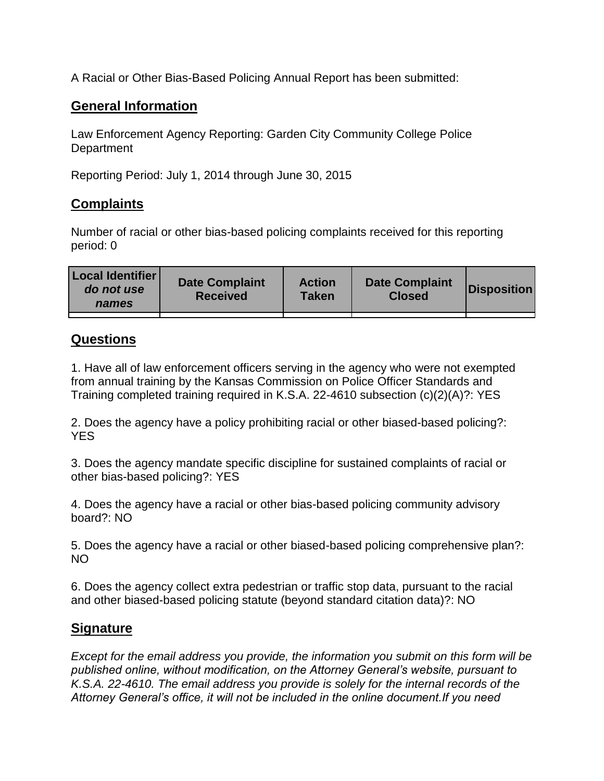A Racial or Other Bias-Based Policing Annual Report has been submitted:

## **General Information**

Law Enforcement Agency Reporting: Garden City Community College Police **Department** 

Reporting Period: July 1, 2014 through June 30, 2015

## **Complaints**

Number of racial or other bias-based policing complaints received for this reporting period: 0

## **Questions**

1. Have all of law enforcement officers serving in the agency who were not exempted from annual training by the Kansas Commission on Police Officer Standards and Training completed training required in K.S.A. 22-4610 subsection (c)(2)(A)?: YES

2. Does the agency have a policy prohibiting racial or other biased-based policing?: YES

3. Does the agency mandate specific discipline for sustained complaints of racial or other bias-based policing?: YES

4. Does the agency have a racial or other bias-based policing community advisory board?: NO

5. Does the agency have a racial or other biased-based policing comprehensive plan?: NO

6. Does the agency collect extra pedestrian or traffic stop data, pursuant to the racial and other biased-based policing statute (beyond standard citation data)?: NO

## **Signature**

*Except for the email address you provide, the information you submit on this form will be published online, without modification, on the Attorney General's website, pursuant to K.S.A. 22-4610. The email address you provide is solely for the internal records of the Attorney General's office, it will not be included in the online document.If you need*